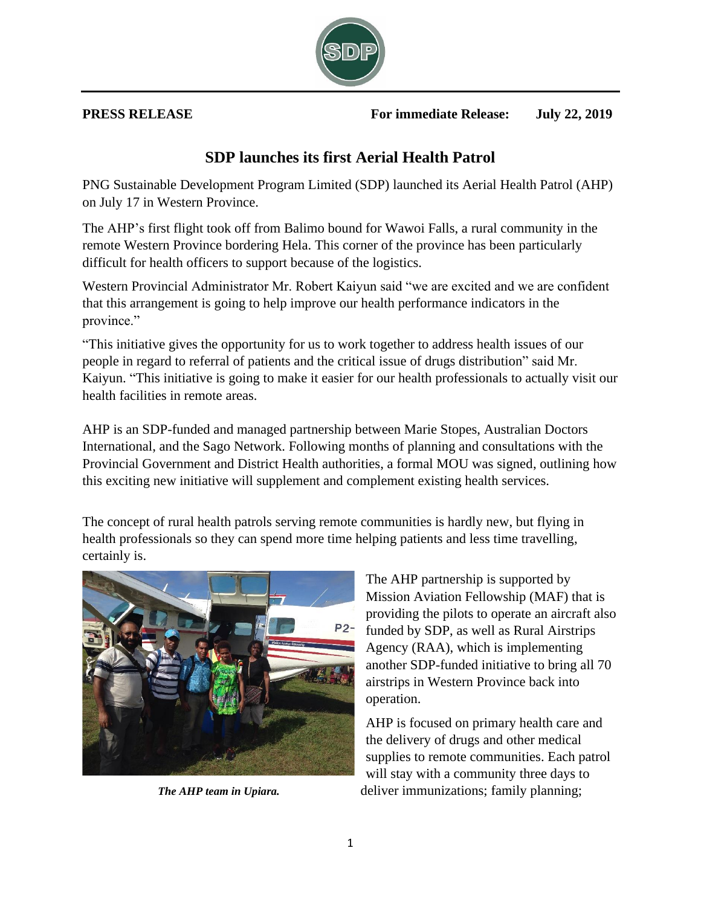

**PRESS RELEASE For immediate Release: July 22, 2019**

## **SDP launches its first Aerial Health Patrol**

PNG Sustainable Development Program Limited (SDP) launched its Aerial Health Patrol (AHP) on July 17 in Western Province.

The AHP's first flight took off from Balimo bound for Wawoi Falls, a rural community in the remote Western Province bordering Hela. This corner of the province has been particularly difficult for health officers to support because of the logistics.

Western Provincial Administrator Mr. Robert Kaiyun said "we are excited and we are confident that this arrangement is going to help improve our health performance indicators in the province."

"This initiative gives the opportunity for us to work together to address health issues of our people in regard to referral of patients and the critical issue of drugs distribution" said Mr. Kaiyun. "This initiative is going to make it easier for our health professionals to actually visit our health facilities in remote areas.

AHP is an SDP-funded and managed partnership between Marie Stopes, Australian Doctors International, and the Sago Network. Following months of planning and consultations with the Provincial Government and District Health authorities, a formal MOU was signed, outlining how this exciting new initiative will supplement and complement existing health services.

The concept of rural health patrols serving remote communities is hardly new, but flying in health professionals so they can spend more time helping patients and less time travelling, certainly is.



The AHP partnership is supported by Mission Aviation Fellowship (MAF) that is providing the pilots to operate an aircraft also funded by SDP, as well as Rural Airstrips Agency (RAA), which is implementing another SDP-funded initiative to bring all 70 airstrips in Western Province back into operation.

AHP is focused on primary health care and the delivery of drugs and other medical supplies to remote communities. Each patrol will stay with a community three days to *The AHP team in Upiara.* deliver immunizations; family planning;